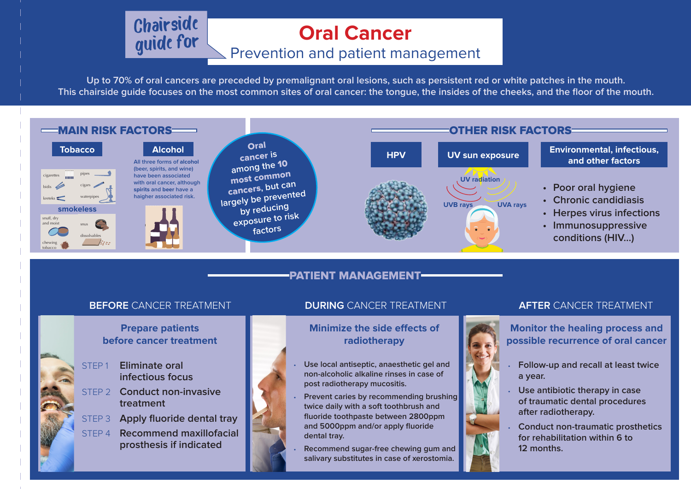**Up to 70% of oral cancers are preceded by premalignant oral lesions, such as persistent red or white patches in the mouth. This chairside guide focuses on the most common sites of oral cancer: the tongue, the insides of the cheeks, and the floor of the mouth.**

### PATIENT MANAGEMENT

### **Prepare patients before cancer treatment**

### **Minimize the side effects of radiotherapy**

**Monitor the healing process and possible recurrence of oral cancer**

- **• Poor oral hygiene**
- **• Chronic candidiasis**
- **• Herpes virus infections**
- **• Immunosuppressive conditions (HIV…)**

STEP 1 **Eliminate oral infectious focus**

- STEP 2 **Conduct non-invasive treatment**
- STEP 3 **Apply fluoride dental tray**
- STEP 4 **Recommend maxillofacial prosthesis if indicated**
- **• Use local antiseptic, anaesthetic gel and non-alcoholic alkaline rinses in case of post radiotherapy mucositis.**
- **• Prevent caries by recommending brushing twice daily with a soft toothbrush and fluoride toothpaste between 2800ppm and 5000ppm and/or apply fluoride dental tray.**
- **• Recommend sugar-free chewing gum and salivary substitutes in case of xerostomia.**



- **• Follow-up and recall at least twice a year.**
- **• Use antibiotic therapy in case of traumatic dental procedures after radiotherapy.**
- **• Conduct non-traumatic prosthetics for rehabilitation within 6 to 12 months.**



### Prevention and patient management



# Chairside **Cancer**

**and other factors**

secondhand smoke: **156,000 men**, **281,000 women** and **166,000 children**. At least **300 million** people use

In 2011, manufacturers spent about cigarettes and smokeless tobacco.

**US\$1 billion** on tobacco control

**200** million women smoke.

Maps and graphics © Myriad Editions 2015

waterpipes

• staining

From *The Challenge of Oral Disease – A call for global action* by FDI World Dental Federation.



TOBACCO FACTS

in Southeast Asia.

secondhand smoke: **156,000 men**, **281,000 women** and **166,000 children**.

In 2011, manufacturers spent about **US\$9.5 billion** on advertising

**US\$1 billion** on tobacco control

**200** million women smoke.

Maps and graphics © Myriad Editions 2015

From *The Challenge of Oral Disease – A call for global action* by FDI World Dental Federation.

Maps and graphics © Myriad Editions 2015